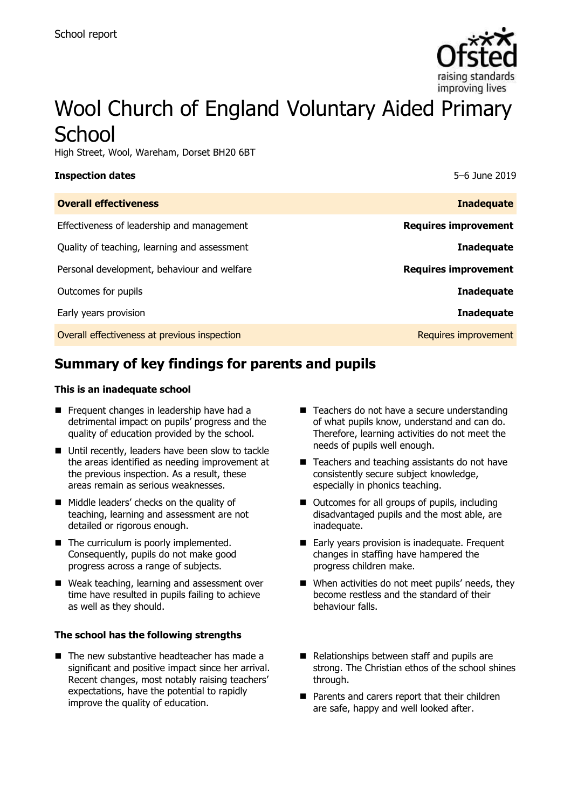

# Wool Church of England Voluntary Aided Primary **School**

High Street, Wool, Wareham, Dorset BH20 6BT

### **Inspection dates** 5–6 June 2019

| <b>Inadequate</b>           |
|-----------------------------|
| <b>Requires improvement</b> |
| <b>Inadequate</b>           |
| <b>Requires improvement</b> |
| <b>Inadequate</b>           |
| <b>Inadequate</b>           |
| Requires improvement        |
|                             |

# **Summary of key findings for parents and pupils**

### **This is an inadequate school**

- Frequent changes in leadership have had a detrimental impact on pupils' progress and the quality of education provided by the school.
- Until recently, leaders have been slow to tackle the areas identified as needing improvement at the previous inspection. As a result, these areas remain as serious weaknesses.
- **Middle leaders' checks on the quality of** teaching, learning and assessment are not detailed or rigorous enough.
- The curriculum is poorly implemented. Consequently, pupils do not make good progress across a range of subjects.
- Weak teaching, learning and assessment over time have resulted in pupils failing to achieve as well as they should.

### **The school has the following strengths**

 $\blacksquare$  The new substantive headteacher has made a significant and positive impact since her arrival. Recent changes, most notably raising teachers' expectations, have the potential to rapidly improve the quality of education.

- Teachers do not have a secure understanding of what pupils know, understand and can do. Therefore, learning activities do not meet the needs of pupils well enough.
- Teachers and teaching assistants do not have consistently secure subject knowledge, especially in phonics teaching.
- Outcomes for all groups of pupils, including disadvantaged pupils and the most able, are inadequate.
- Early years provision is inadequate. Frequent changes in staffing have hampered the progress children make.
- When activities do not meet pupils' needs, they become restless and the standard of their behaviour falls.
- Relationships between staff and pupils are strong. The Christian ethos of the school shines through.
- **Parents and carers report that their children** are safe, happy and well looked after.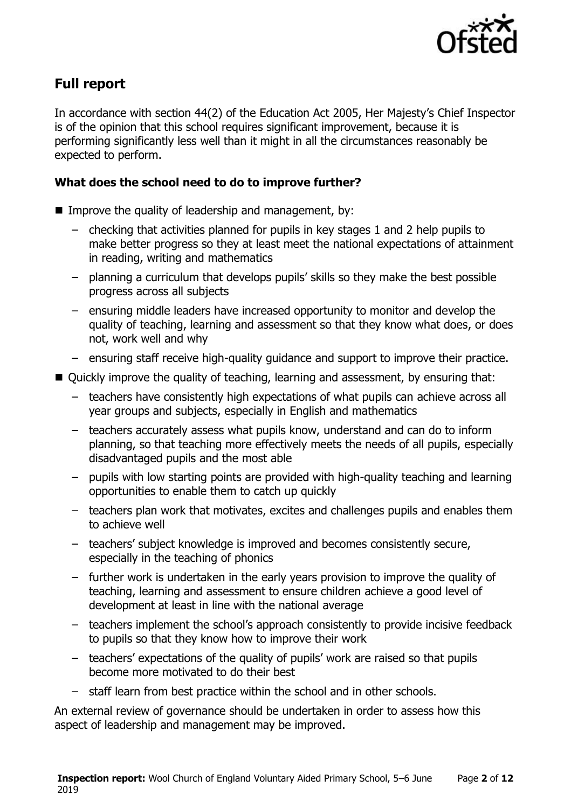

# **Full report**

In accordance with section 44(2) of the Education Act 2005, Her Majesty's Chief Inspector is of the opinion that this school requires significant improvement, because it is performing significantly less well than it might in all the circumstances reasonably be expected to perform.

### **What does the school need to do to improve further?**

- Improve the quality of leadership and management, by:
	- checking that activities planned for pupils in key stages 1 and 2 help pupils to make better progress so they at least meet the national expectations of attainment in reading, writing and mathematics
	- planning a curriculum that develops pupils' skills so they make the best possible progress across all subjects
	- ensuring middle leaders have increased opportunity to monitor and develop the quality of teaching, learning and assessment so that they know what does, or does not, work well and why
	- ensuring staff receive high-quality guidance and support to improve their practice.
- Ouickly improve the quality of teaching, learning and assessment, by ensuring that:
	- teachers have consistently high expectations of what pupils can achieve across all year groups and subjects, especially in English and mathematics
	- teachers accurately assess what pupils know, understand and can do to inform planning, so that teaching more effectively meets the needs of all pupils, especially disadvantaged pupils and the most able
	- pupils with low starting points are provided with high-quality teaching and learning opportunities to enable them to catch up quickly
	- teachers plan work that motivates, excites and challenges pupils and enables them to achieve well
	- teachers' subject knowledge is improved and becomes consistently secure, especially in the teaching of phonics
	- further work is undertaken in the early years provision to improve the quality of teaching, learning and assessment to ensure children achieve a good level of development at least in line with the national average
	- teachers implement the school's approach consistently to provide incisive feedback to pupils so that they know how to improve their work
	- teachers' expectations of the quality of pupils' work are raised so that pupils become more motivated to do their best
	- staff learn from best practice within the school and in other schools.

An external review of governance should be undertaken in order to assess how this aspect of leadership and management may be improved.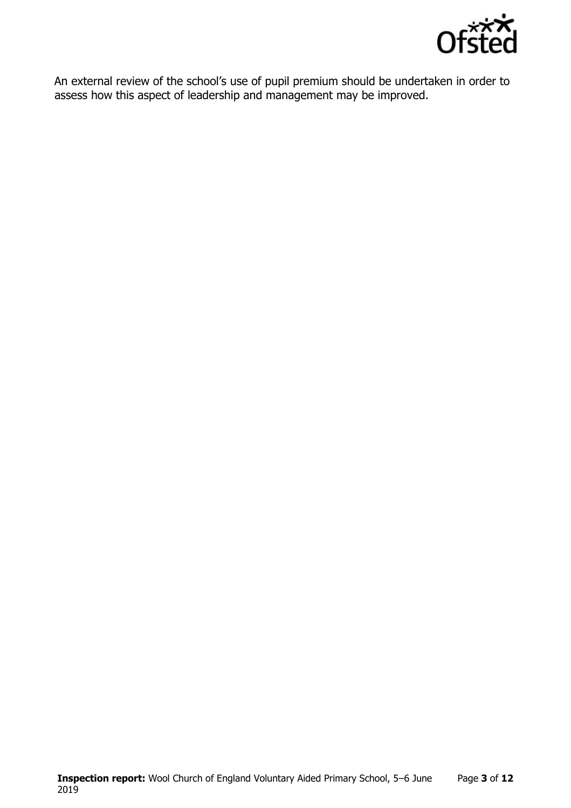

An external review of the school's use of pupil premium should be undertaken in order to assess how this aspect of leadership and management may be improved.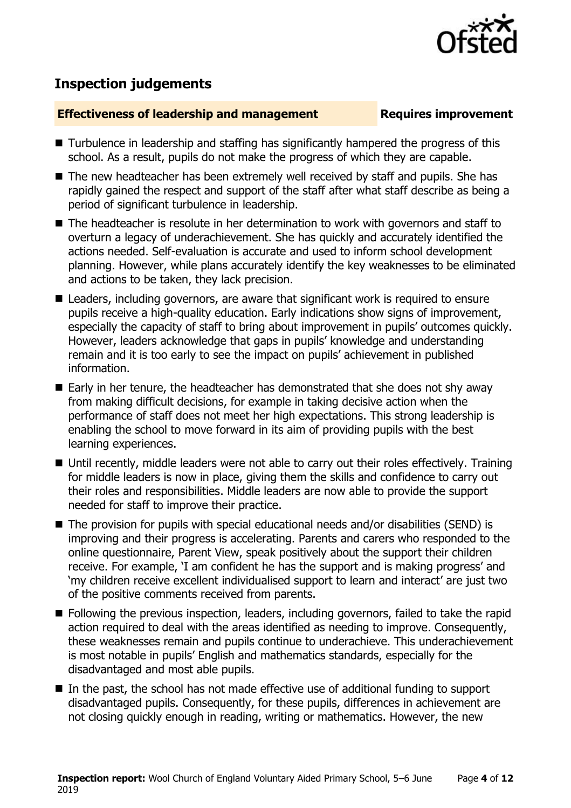

# **Inspection judgements**

### **Effectiveness of leadership and management Requires improvement**

- Turbulence in leadership and staffing has significantly hampered the progress of this school. As a result, pupils do not make the progress of which they are capable.
- The new headteacher has been extremely well received by staff and pupils. She has rapidly gained the respect and support of the staff after what staff describe as being a period of significant turbulence in leadership.
- The headteacher is resolute in her determination to work with governors and staff to overturn a legacy of underachievement. She has quickly and accurately identified the actions needed. Self-evaluation is accurate and used to inform school development planning. However, while plans accurately identify the key weaknesses to be eliminated and actions to be taken, they lack precision.
- Leaders, including governors, are aware that significant work is required to ensure pupils receive a high-quality education. Early indications show signs of improvement, especially the capacity of staff to bring about improvement in pupils' outcomes quickly. However, leaders acknowledge that gaps in pupils' knowledge and understanding remain and it is too early to see the impact on pupils' achievement in published information.
- Early in her tenure, the headteacher has demonstrated that she does not shy away from making difficult decisions, for example in taking decisive action when the performance of staff does not meet her high expectations. This strong leadership is enabling the school to move forward in its aim of providing pupils with the best learning experiences.
- Until recently, middle leaders were not able to carry out their roles effectively. Training for middle leaders is now in place, giving them the skills and confidence to carry out their roles and responsibilities. Middle leaders are now able to provide the support needed for staff to improve their practice.
- The provision for pupils with special educational needs and/or disabilities (SEND) is improving and their progress is accelerating. Parents and carers who responded to the online questionnaire, Parent View, speak positively about the support their children receive. For example, 'I am confident he has the support and is making progress' and 'my children receive excellent individualised support to learn and interact' are just two of the positive comments received from parents.
- **Following the previous inspection, leaders, including governors, failed to take the rapid** action required to deal with the areas identified as needing to improve. Consequently, these weaknesses remain and pupils continue to underachieve. This underachievement is most notable in pupils' English and mathematics standards, especially for the disadvantaged and most able pupils.
- In the past, the school has not made effective use of additional funding to support disadvantaged pupils. Consequently, for these pupils, differences in achievement are not closing quickly enough in reading, writing or mathematics. However, the new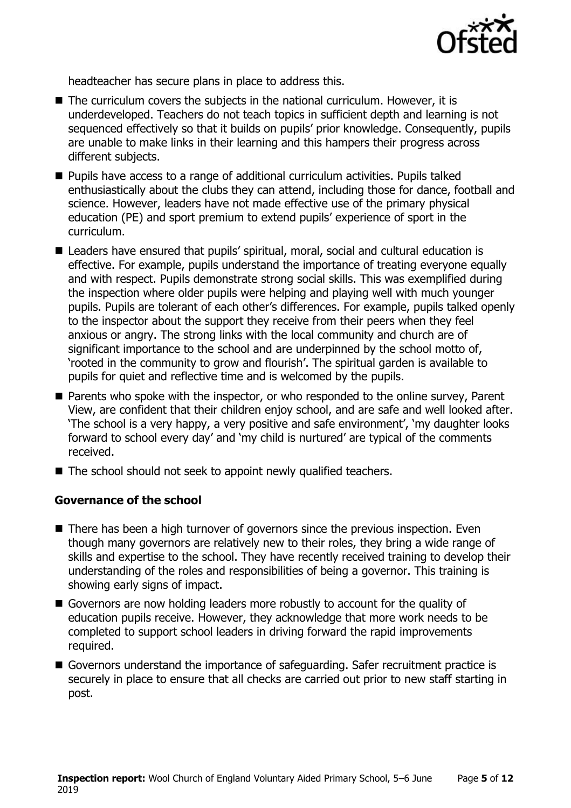

headteacher has secure plans in place to address this.

- The curriculum covers the subjects in the national curriculum. However, it is underdeveloped. Teachers do not teach topics in sufficient depth and learning is not sequenced effectively so that it builds on pupils' prior knowledge. Consequently, pupils are unable to make links in their learning and this hampers their progress across different subjects.
- Pupils have access to a range of additional curriculum activities. Pupils talked enthusiastically about the clubs they can attend, including those for dance, football and science. However, leaders have not made effective use of the primary physical education (PE) and sport premium to extend pupils' experience of sport in the curriculum.
- Leaders have ensured that pupils' spiritual, moral, social and cultural education is effective. For example, pupils understand the importance of treating everyone equally and with respect. Pupils demonstrate strong social skills. This was exemplified during the inspection where older pupils were helping and playing well with much younger pupils. Pupils are tolerant of each other's differences. For example, pupils talked openly to the inspector about the support they receive from their peers when they feel anxious or angry. The strong links with the local community and church are of significant importance to the school and are underpinned by the school motto of, 'rooted in the community to grow and flourish'. The spiritual garden is available to pupils for quiet and reflective time and is welcomed by the pupils.
- **Parents who spoke with the inspector, or who responded to the online survey, Parent** View, are confident that their children enjoy school, and are safe and well looked after. 'The school is a very happy, a very positive and safe environment', 'my daughter looks forward to school every day' and 'my child is nurtured' are typical of the comments received.
- The school should not seek to appoint newly qualified teachers.

### **Governance of the school**

- There has been a high turnover of governors since the previous inspection. Even though many governors are relatively new to their roles, they bring a wide range of skills and expertise to the school. They have recently received training to develop their understanding of the roles and responsibilities of being a governor. This training is showing early signs of impact.
- Governors are now holding leaders more robustly to account for the quality of education pupils receive. However, they acknowledge that more work needs to be completed to support school leaders in driving forward the rapid improvements required.
- Governors understand the importance of safeguarding. Safer recruitment practice is securely in place to ensure that all checks are carried out prior to new staff starting in post.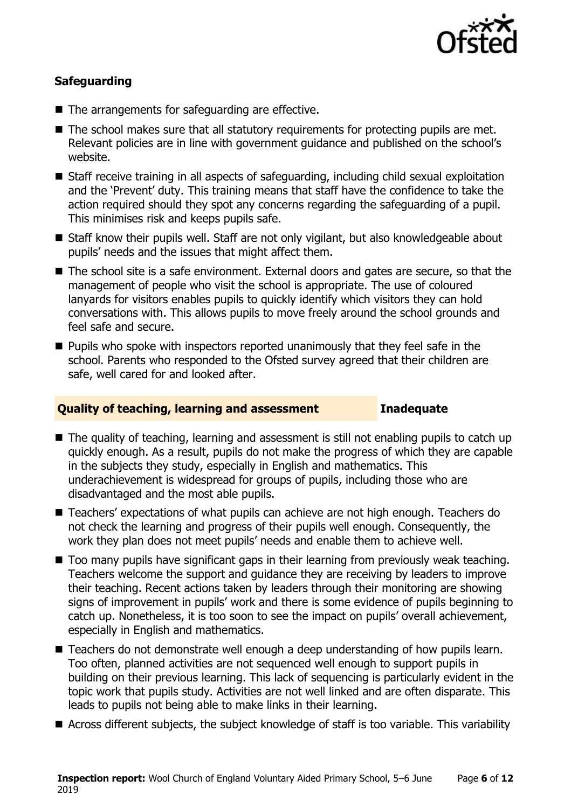

### **Safeguarding**

- The arrangements for safeguarding are effective.
- The school makes sure that all statutory requirements for protecting pupils are met. Relevant policies are in line with government guidance and published on the school's website.
- Staff receive training in all aspects of safeguarding, including child sexual exploitation and the 'Prevent' duty. This training means that staff have the confidence to take the action required should they spot any concerns regarding the safeguarding of a pupil. This minimises risk and keeps pupils safe.
- Staff know their pupils well. Staff are not only vigilant, but also knowledgeable about pupils' needs and the issues that might affect them.
- The school site is a safe environment. External doors and gates are secure, so that the management of people who visit the school is appropriate. The use of coloured lanyards for visitors enables pupils to quickly identify which visitors they can hold conversations with. This allows pupils to move freely around the school grounds and feel safe and secure.
- $\blacksquare$  Pupils who spoke with inspectors reported unanimously that they feel safe in the school. Parents who responded to the Ofsted survey agreed that their children are safe, well cared for and looked after.

### **Quality of teaching, learning and assessment Inadequate**

- The quality of teaching, learning and assessment is still not enabling pupils to catch up quickly enough. As a result, pupils do not make the progress of which they are capable in the subjects they study, especially in English and mathematics. This underachievement is widespread for groups of pupils, including those who are disadvantaged and the most able pupils.
- Teachers' expectations of what pupils can achieve are not high enough. Teachers do not check the learning and progress of their pupils well enough. Consequently, the work they plan does not meet pupils' needs and enable them to achieve well.
- Too many pupils have significant gaps in their learning from previously weak teaching. Teachers welcome the support and guidance they are receiving by leaders to improve their teaching. Recent actions taken by leaders through their monitoring are showing signs of improvement in pupils' work and there is some evidence of pupils beginning to catch up. Nonetheless, it is too soon to see the impact on pupils' overall achievement, especially in English and mathematics.
- Teachers do not demonstrate well enough a deep understanding of how pupils learn. Too often, planned activities are not sequenced well enough to support pupils in building on their previous learning. This lack of sequencing is particularly evident in the topic work that pupils study. Activities are not well linked and are often disparate. This leads to pupils not being able to make links in their learning.
- Across different subjects, the subject knowledge of staff is too variable. This variability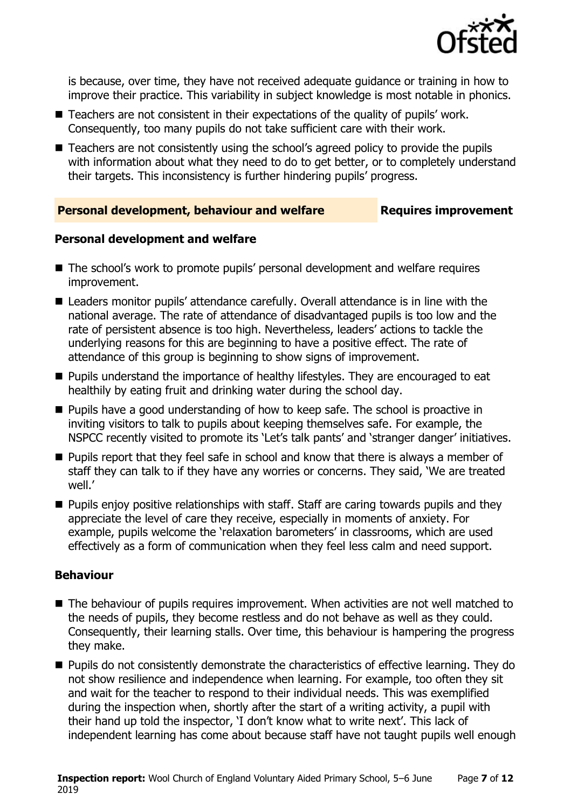

is because, over time, they have not received adequate guidance or training in how to improve their practice. This variability in subject knowledge is most notable in phonics.

- Teachers are not consistent in their expectations of the quality of pupils' work. Consequently, too many pupils do not take sufficient care with their work.
- Teachers are not consistently using the school's agreed policy to provide the pupils with information about what they need to do to get better, or to completely understand their targets. This inconsistency is further hindering pupils' progress.

### **Personal development, behaviour and welfare Fig. 2.1 Requires improvement**

### **Personal development and welfare**

- The school's work to promote pupils' personal development and welfare requires improvement.
- Leaders monitor pupils' attendance carefully. Overall attendance is in line with the national average. The rate of attendance of disadvantaged pupils is too low and the rate of persistent absence is too high. Nevertheless, leaders' actions to tackle the underlying reasons for this are beginning to have a positive effect. The rate of attendance of this group is beginning to show signs of improvement.
- **Pupils understand the importance of healthy lifestyles. They are encouraged to eat** healthily by eating fruit and drinking water during the school day.
- **Pupils have a good understanding of how to keep safe. The school is proactive in** inviting visitors to talk to pupils about keeping themselves safe. For example, the NSPCC recently visited to promote its 'Let's talk pants' and 'stranger danger' initiatives.
- **Pupils report that they feel safe in school and know that there is always a member of** staff they can talk to if they have any worries or concerns. They said, 'We are treated well.'
- **Pupils enjoy positive relationships with staff. Staff are caring towards pupils and they** appreciate the level of care they receive, especially in moments of anxiety. For example, pupils welcome the 'relaxation barometers' in classrooms, which are used effectively as a form of communication when they feel less calm and need support.

### **Behaviour**

- The behaviour of pupils requires improvement. When activities are not well matched to the needs of pupils, they become restless and do not behave as well as they could. Consequently, their learning stalls. Over time, this behaviour is hampering the progress they make.
- **Pupils do not consistently demonstrate the characteristics of effective learning. They do** not show resilience and independence when learning. For example, too often they sit and wait for the teacher to respond to their individual needs. This was exemplified during the inspection when, shortly after the start of a writing activity, a pupil with their hand up told the inspector, 'I don't know what to write next'. This lack of independent learning has come about because staff have not taught pupils well enough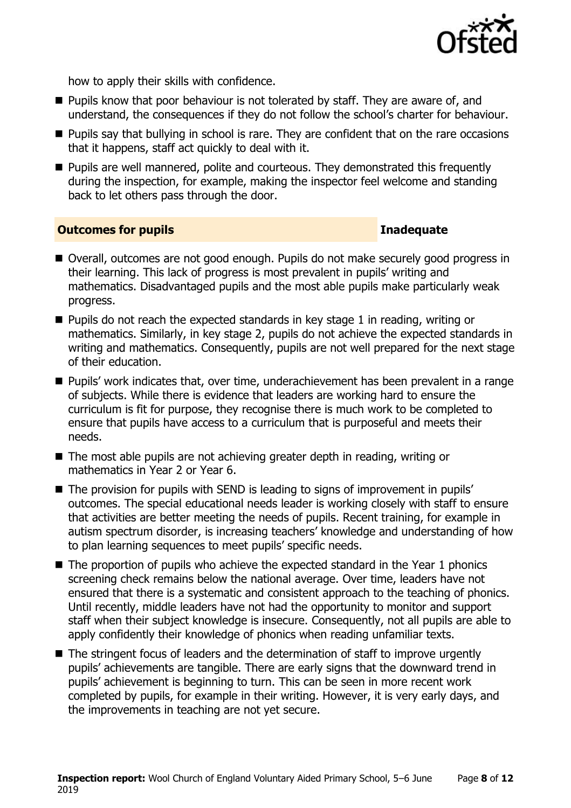

how to apply their skills with confidence.

- **Pupils know that poor behaviour is not tolerated by staff. They are aware of, and** understand, the consequences if they do not follow the school's charter for behaviour.
- **Pupils say that bullying in school is rare. They are confident that on the rare occasions** that it happens, staff act quickly to deal with it.
- **Pupils are well mannered, polite and courteous. They demonstrated this frequently** during the inspection, for example, making the inspector feel welcome and standing back to let others pass through the door.

### **Outcomes for pupils Inadequate**

- Overall, outcomes are not good enough. Pupils do not make securely good progress in their learning. This lack of progress is most prevalent in pupils' writing and mathematics. Disadvantaged pupils and the most able pupils make particularly weak progress.
- $\blacksquare$  Pupils do not reach the expected standards in key stage 1 in reading, writing or mathematics. Similarly, in key stage 2, pupils do not achieve the expected standards in writing and mathematics. Consequently, pupils are not well prepared for the next stage of their education.
- Pupils' work indicates that, over time, underachievement has been prevalent in a range of subjects. While there is evidence that leaders are working hard to ensure the curriculum is fit for purpose, they recognise there is much work to be completed to ensure that pupils have access to a curriculum that is purposeful and meets their needs.
- The most able pupils are not achieving greater depth in reading, writing or mathematics in Year 2 or Year 6.
- The provision for pupils with SEND is leading to signs of improvement in pupils' outcomes. The special educational needs leader is working closely with staff to ensure that activities are better meeting the needs of pupils. Recent training, for example in autism spectrum disorder, is increasing teachers' knowledge and understanding of how to plan learning sequences to meet pupils' specific needs.
- $\blacksquare$  The proportion of pupils who achieve the expected standard in the Year 1 phonics screening check remains below the national average. Over time, leaders have not ensured that there is a systematic and consistent approach to the teaching of phonics. Until recently, middle leaders have not had the opportunity to monitor and support staff when their subject knowledge is insecure. Consequently, not all pupils are able to apply confidently their knowledge of phonics when reading unfamiliar texts.
- The stringent focus of leaders and the determination of staff to improve urgently pupils' achievements are tangible. There are early signs that the downward trend in pupils' achievement is beginning to turn. This can be seen in more recent work completed by pupils, for example in their writing. However, it is very early days, and the improvements in teaching are not yet secure.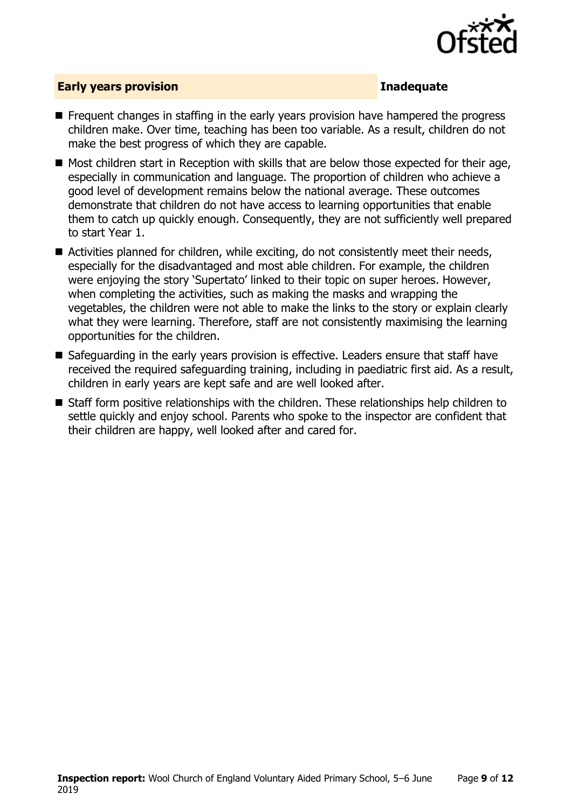

### **Early years provision Inadequate**

- **F** Frequent changes in staffing in the early years provision have hampered the progress children make. Over time, teaching has been too variable. As a result, children do not make the best progress of which they are capable.
- $\blacksquare$  Most children start in Reception with skills that are below those expected for their age, especially in communication and language. The proportion of children who achieve a good level of development remains below the national average. These outcomes demonstrate that children do not have access to learning opportunities that enable them to catch up quickly enough. Consequently, they are not sufficiently well prepared to start Year 1.
- Activities planned for children, while exciting, do not consistently meet their needs, especially for the disadvantaged and most able children. For example, the children were enjoying the story 'Supertato' linked to their topic on super heroes. However, when completing the activities, such as making the masks and wrapping the vegetables, the children were not able to make the links to the story or explain clearly what they were learning. Therefore, staff are not consistently maximising the learning opportunities for the children.
- Safeguarding in the early years provision is effective. Leaders ensure that staff have received the required safeguarding training, including in paediatric first aid. As a result, children in early years are kept safe and are well looked after.
- Staff form positive relationships with the children. These relationships help children to settle quickly and enjoy school. Parents who spoke to the inspector are confident that their children are happy, well looked after and cared for.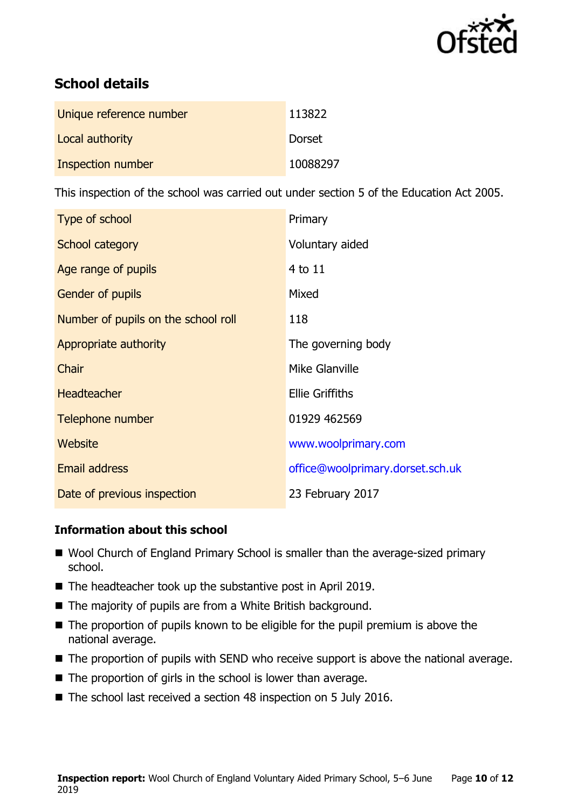

# **School details**

| Unique reference number | 113822   |
|-------------------------|----------|
| Local authority         | Dorset   |
| Inspection number       | 10088297 |

This inspection of the school was carried out under section 5 of the Education Act 2005.

| Type of school                      | Primary                          |
|-------------------------------------|----------------------------------|
| School category                     | Voluntary aided                  |
| Age range of pupils                 | 4 to 11                          |
| <b>Gender of pupils</b>             | Mixed                            |
| Number of pupils on the school roll | 118                              |
| Appropriate authority               | The governing body               |
| Chair                               | Mike Glanville                   |
| <b>Headteacher</b>                  | <b>Ellie Griffiths</b>           |
| Telephone number                    | 01929 462569                     |
| Website                             | www.woolprimary.com              |
| <b>Email address</b>                | office@woolprimary.dorset.sch.uk |
| Date of previous inspection         | 23 February 2017                 |

### **Information about this school**

- Wool Church of England Primary School is smaller than the average-sized primary school.
- The headteacher took up the substantive post in April 2019.
- The majority of pupils are from a White British background.
- The proportion of pupils known to be eligible for the pupil premium is above the national average.
- The proportion of pupils with SEND who receive support is above the national average.
- $\blacksquare$  The proportion of girls in the school is lower than average.
- The school last received a section 48 inspection on 5 July 2016.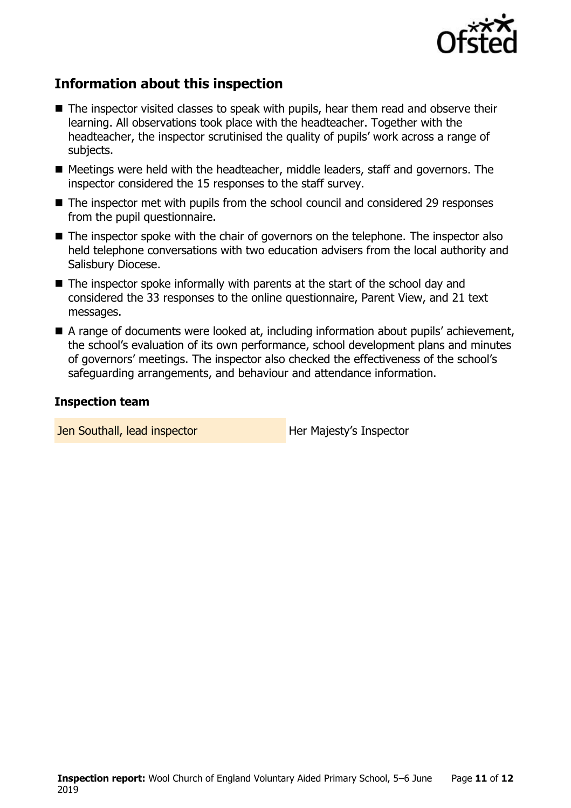

# **Information about this inspection**

- The inspector visited classes to speak with pupils, hear them read and observe their learning. All observations took place with the headteacher. Together with the headteacher, the inspector scrutinised the quality of pupils' work across a range of subjects.
- Meetings were held with the headteacher, middle leaders, staff and governors. The inspector considered the 15 responses to the staff survey.
- The inspector met with pupils from the school council and considered 29 responses from the pupil questionnaire.
- The inspector spoke with the chair of governors on the telephone. The inspector also held telephone conversations with two education advisers from the local authority and Salisbury Diocese.
- $\blacksquare$  The inspector spoke informally with parents at the start of the school day and considered the 33 responses to the online questionnaire, Parent View, and 21 text messages.
- A range of documents were looked at, including information about pupils' achievement, the school's evaluation of its own performance, school development plans and minutes of governors' meetings. The inspector also checked the effectiveness of the school's safeguarding arrangements, and behaviour and attendance information.

### **Inspection team**

Jen Southall, lead inspector **Her Majesty's Inspector**